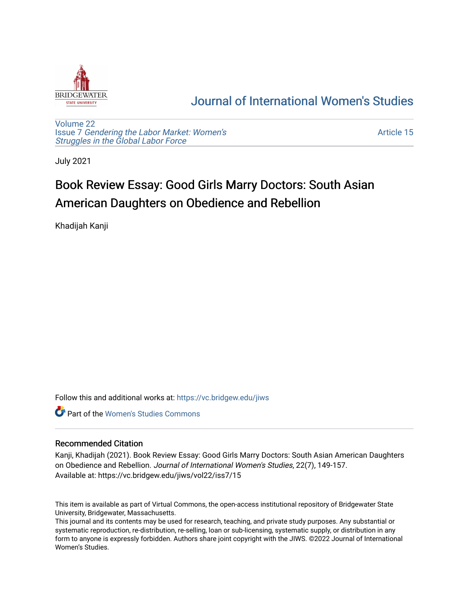

# [Journal of International Women's Studies](https://vc.bridgew.edu/jiws)

[Volume 22](https://vc.bridgew.edu/jiws/vol22) Issue 7 [Gendering the Labor Market: Women's](https://vc.bridgew.edu/jiws/vol22/iss7) [Struggles in the Global Labor Force](https://vc.bridgew.edu/jiws/vol22/iss7)

[Article 15](https://vc.bridgew.edu/jiws/vol22/iss7/15) 

July 2021

# Book Review Essay: Good Girls Marry Doctors: South Asian American Daughters on Obedience and Rebellion

Khadijah Kanji

Follow this and additional works at: [https://vc.bridgew.edu/jiws](https://vc.bridgew.edu/jiws?utm_source=vc.bridgew.edu%2Fjiws%2Fvol22%2Fiss7%2F15&utm_medium=PDF&utm_campaign=PDFCoverPages)

**C** Part of the Women's Studies Commons

# Recommended Citation

Kanji, Khadijah (2021). Book Review Essay: Good Girls Marry Doctors: South Asian American Daughters on Obedience and Rebellion. Journal of International Women's Studies, 22(7), 149-157. Available at: https://vc.bridgew.edu/jiws/vol22/iss7/15

This item is available as part of Virtual Commons, the open-access institutional repository of Bridgewater State University, Bridgewater, Massachusetts.

This journal and its contents may be used for research, teaching, and private study purposes. Any substantial or systematic reproduction, re-distribution, re-selling, loan or sub-licensing, systematic supply, or distribution in any form to anyone is expressly forbidden. Authors share joint copyright with the JIWS. ©2022 Journal of International Women's Studies.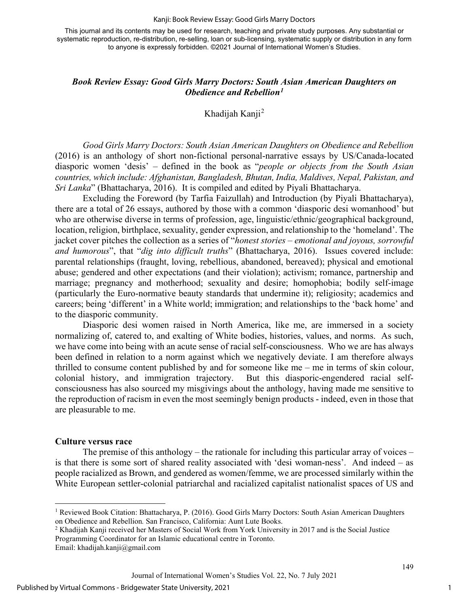#### Kanji: Book Review Essay: Good Girls Marry Doctors

This journal and its contents may be used for research, teaching and private study purposes. Any substantial or systematic reproduction, re-distribution, re-selling, loan or sub-licensing, systematic supply or distribution in any form to anyone is expressly forbidden. ©2021 Journal of International Women's Studies.

# *Book Review Essay: Good Girls Marry Doctors: South Asian American Daughters on Obedience and Rebellion[1](#page-1-0)*

Khadijah Kanji<sup>[2](#page-1-1)</sup>

*Good Girls Marry Doctors: South Asian American Daughters on Obedience and Rebellion* (2016) is an anthology of short non-fictional personal-narrative essays by US/Canada-located diasporic women 'desis' – defined in the book as "*people or objects from the South Asian countries, which include: Afghanistan, Bangladesh, Bhutan, India, Maldives, Nepal, Pakistan, and Sri Lanka*" (Bhattacharya, 2016). It is compiled and edited by Piyali Bhattacharya.

Excluding the Foreword (by Tarfia Faizullah) and Introduction (by Piyali Bhattacharya), there are a total of 26 essays, authored by those with a common 'diasporic desi womanhood' but who are otherwise diverse in terms of profession, age, linguistic/ethnic/geographical background, location, religion, birthplace, sexuality, gender expression, and relationship to the 'homeland'. The jacket cover pitches the collection as a series of "*honest stories – emotional and joyous, sorrowful and humorous*", that "*dig into difficult truths*" (Bhattacharya, 2016). Issues covered include: parental relationships (fraught, loving, rebellious, abandoned, bereaved); physical and emotional abuse; gendered and other expectations (and their violation); activism; romance, partnership and marriage; pregnancy and motherhood; sexuality and desire; homophobia; bodily self-image (particularly the Euro-normative beauty standards that undermine it); religiosity; academics and careers; being 'different' in a White world; immigration; and relationships to the 'back home' and to the diasporic community.

Diasporic desi women raised in North America, like me, are immersed in a society normalizing of, catered to, and exalting of White bodies, histories, values, and norms. As such, we have come into being with an acute sense of racial self-consciousness. Who we are has always been defined in relation to a norm against which we negatively deviate. I am therefore always thrilled to consume content published by and for someone like me – me in terms of skin colour, colonial history, and immigration trajectory. But this diasporic-engendered racial selfconsciousness has also sourced my misgivings about the anthology, having made me sensitive to the reproduction of racism in even the most seemingly benign products - indeed, even in those that are pleasurable to me.

#### **Culture versus race**

The premise of this anthology – the rationale for including this particular array of voices – is that there is some sort of shared reality associated with 'desi woman-ness'. And indeed – as people racialized as Brown, and gendered as women/femme, we are processed similarly within the White European settler-colonial patriarchal and racialized capitalist nationalist spaces of US and

<span id="page-1-0"></span><sup>&</sup>lt;sup>1</sup> Reviewed Book Citation: Bhattacharya, P. (2016). Good Girls Marry Doctors: South Asian American Daughters on Obedience and Rebellion*.* San Francisco, California: Aunt Lute Books.

<span id="page-1-1"></span><sup>2</sup> Khadijah Kanji received her Masters of Social Work from York University in 2017 and is the Social Justice Programming Coordinator for an Islamic educational centre in Toronto.

Email: [khadijah.kanji@gmail.com](mailto:khadijah.kanji@gmail.com)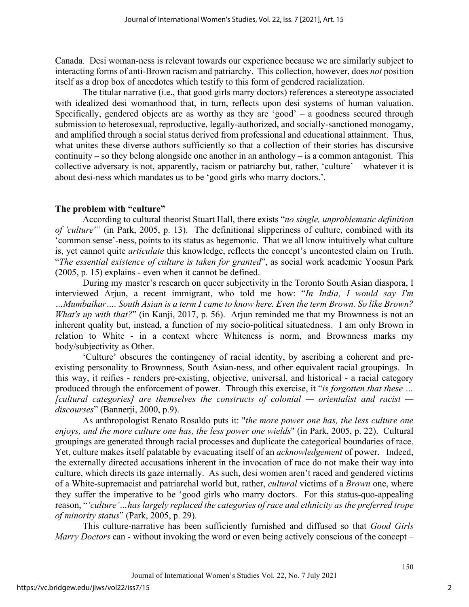Canada. Desi woman-ness is relevant towards our experience because we are similarly subject to interacting forms of anti-Brown racism and patriarchy. This collection, however, does *not* position itself as a drop box of anecdotes which testify to this form of gendered racialization.

The titular narrative (i.e., that good girls marry doctors) references a stereotype associated with idealized desi womanhood that, in turn, reflects upon desi systems of human valuation. Specifically, gendered objects are as worthy as they are 'good' – a goodness secured through submission to heterosexual, reproductive, legally-authorized, and socially-sanctioned monogamy, and amplified through a social status derived from professional and educational attainment. Thus, what unites these diverse authors sufficiently so that a collection of their stories has discursive continuity – so they belong alongside one another in an anthology – is a common antagonist. This collective adversary is not, apparently, racism or patriarchy but, rather, 'culture' – whatever it is about desi-ness which mandates us to be 'good girls who marry doctors.'.

# **The problem with "culture"**

According to cultural theorist Stuart Hall, there exists "*no single, unproblematic definition of 'culture'"* (in Park, 2005, p. 13). The definitional slipperiness of culture, combined with its 'common sense'-ness, points to its status as hegemonic. That we all know intuitively what culture is, yet cannot quite *articulate* this knowledge, reflects the concept's uncontested claim on Truth. "*The essential existence of culture is taken for granted*", as social work academic Yoosun Park (2005, p. 15) explains - even when it cannot be defined.

During my master's research on queer subjectivity in the Toronto South Asian diaspora, I interviewed Arjun, a recent immigrant, who told me how: "*In India, I would say I'm …Mumbaikar…. South Asian is a term I came to know here. Even the term Brown. So like Brown? What's up with that?*" (in Kanji, 2017, p. 56). Arjun reminded me that my Brownness is not an inherent quality but, instead, a function of my socio-political situatedness. I am only Brown in relation to White - in a context where Whiteness is norm, and Brownness marks my body/subjectivity as Other.

'Culture' obscures the contingency of racial identity, by ascribing a coherent and preexisting personality to Brownness, South Asian-ness, and other equivalent racial groupings. In this way, it reifies - renders pre-existing, objective, universal, and historical - a racial category produced through the enforcement of power. Through this exercise, it "*is forgotten that these … [cultural categories] are themselves the constructs of colonial — orientalist and racist discourses*" (Bannerji, 2000, p.9).

As anthropologist Renato Rosaldo puts it: "*the more power one has, the less culture one enjoys, and the more culture one has, the less power one wields*" (in Park, 2005, p. 22). Cultural groupings are generated through racial processes and duplicate the categorical boundaries of race. Yet, culture makes itself palatable by evacuating itself of an *acknowledgement* of power. Indeed, the externally directed accusations inherent in the invocation of race do not make their way into culture, which directs its gaze internally. As such, desi women aren't raced and gendered victims of a White-supremacist and patriarchal world but, rather, *cultural* victims of a *Brown* one, where they suffer the imperative to be 'good girls who marry doctors. For this status-quo-appealing reason, "*'culture'…has largely replaced the categories of race and ethnicity as the preferred trope of minority status*" (Park, 2005, p. 29).

This culture-narrative has been sufficiently furnished and diffused so that *Good Girls Marry Doctors* can - without invoking the word or even being actively conscious of the concept –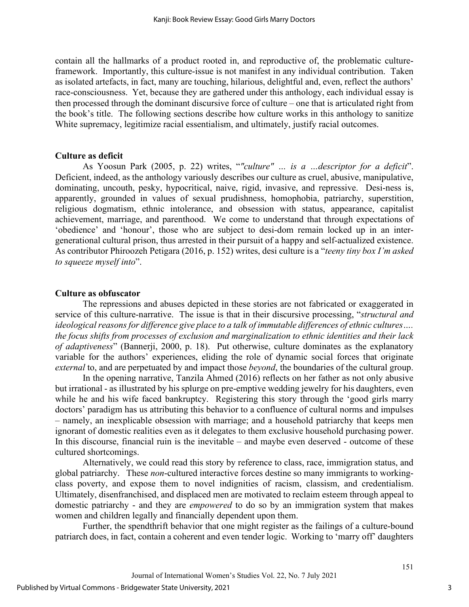contain all the hallmarks of a product rooted in, and reproductive of, the problematic cultureframework. Importantly, this culture-issue is not manifest in any individual contribution. Taken as isolated artefacts, in fact, many are touching, hilarious, delightful and, even, reflect the authors' race-consciousness. Yet, because they are gathered under this anthology, each individual essay is then processed through the dominant discursive force of culture – one that is articulated right from the book's title. The following sections describe how culture works in this anthology to sanitize White supremacy, legitimize racial essentialism, and ultimately, justify racial outcomes.

### **Culture as deficit**

As Yoosun Park (2005, p. 22) writes, "*"culture" … is a …descriptor for a deficit*". Deficient, indeed, as the anthology variously describes our culture as cruel, abusive, manipulative, dominating, uncouth, pesky, hypocritical, naive, rigid, invasive, and repressive. Desi-ness is, apparently, grounded in values of sexual prudishness, homophobia, patriarchy, superstition, religious dogmatism, ethnic intolerance, and obsession with status, appearance, capitalist achievement, marriage, and parenthood. We come to understand that through expectations of 'obedience' and 'honour', those who are subject to desi-dom remain locked up in an intergenerational cultural prison, thus arrested in their pursuit of a happy and self-actualized existence. As contributor Phiroozeh Petigara (2016, p. 152) writes, desi culture is a "*teeny tiny box I'm asked to squeeze myself into*".

### **Culture as obfuscator**

The repressions and abuses depicted in these stories are not fabricated or exaggerated in service of this culture-narrative. The issue is that in their discursive processing, "*structural and ideological reasons for difference give place to a talk of immutable differences of ethnic cultures…. the focus shifts from processes of exclusion and marginalization to ethnic identities and their lack of adaptiveness*" (Bannerji, 2000, p. 18). Put otherwise, culture dominates as the explanatory variable for the authors' experiences, eliding the role of dynamic social forces that originate *external* to, and are perpetuated by and impact those *beyond*, the boundaries of the cultural group.

In the opening narrative, Tanzila Ahmed (2016) reflects on her father as not only abusive but irrational - as illustrated by his splurge on pre-emptive wedding jewelry for his daughters, even while he and his wife faced bankruptcy. Registering this story through the 'good girls marry doctors' paradigm has us attributing this behavior to a confluence of cultural norms and impulses – namely, an inexplicable obsession with marriage; and a household patriarchy that keeps men ignorant of domestic realities even as it delegates to them exclusive household purchasing power. In this discourse, financial ruin is the inevitable – and maybe even deserved - outcome of these cultured shortcomings.

Alternatively, we could read this story by reference to class, race, immigration status, and global patriarchy. These *non*-cultured interactive forces destine so many immigrants to workingclass poverty, and expose them to novel indignities of racism, classism, and credentialism. Ultimately, disenfranchised, and displaced men are motivated to reclaim esteem through appeal to domestic patriarchy - and they are *empowered* to do so by an immigration system that makes women and children legally and financially dependent upon them.

Further, the spendthrift behavior that one might register as the failings of a culture-bound patriarch does, in fact, contain a coherent and even tender logic. Working to 'marry off' daughters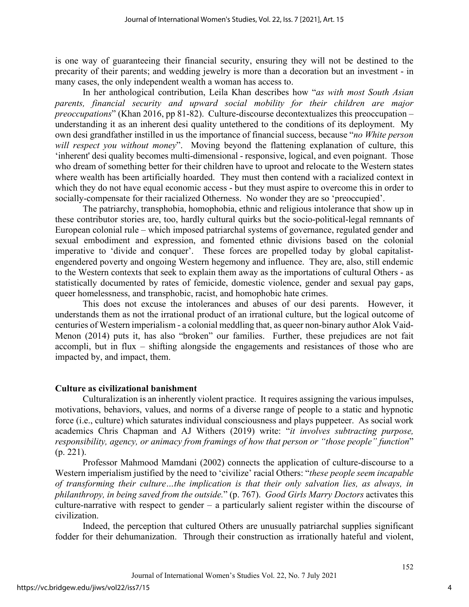is one way of guaranteeing their financial security, ensuring they will not be destined to the precarity of their parents; and wedding jewelry is more than a decoration but an investment - in many cases, the only independent wealth a woman has access to.

In her anthological contribution, Leila Khan describes how "*as with most South Asian parents, financial security and upward social mobility for their children are major preoccupations*" (Khan 2016, pp 81-82). Culture-discourse decontextualizes this preoccupation – understanding it as an inherent desi quality untethered to the conditions of its deployment. My own desi grandfather instilled in us the importance of financial success, because "*no White person will respect you without money*". Moving beyond the flattening explanation of culture, this 'inherent' desi quality becomes multi-dimensional - responsive, logical, and even poignant. Those who dream of something better for their children have to uproot and relocate to the Western states where wealth has been artificially hoarded. They must then contend with a racialized context in which they do not have equal economic access - but they must aspire to overcome this in order to socially-compensate for their racialized Otherness. No wonder they are so 'preoccupied'.

The patriarchy, transphobia, homophobia, ethnic and religious intolerance that show up in these contributor stories are, too, hardly cultural quirks but the socio-political-legal remnants of European colonial rule – which imposed patriarchal systems of governance, regulated gender and sexual embodiment and expression, and fomented ethnic divisions based on the colonial imperative to 'divide and conquer'. These forces are propelled today by global capitalistengendered poverty and ongoing Western hegemony and influence. They are, also, still endemic to the Western contexts that seek to explain them away as the importations of cultural Others - as statistically documented by rates of femicide, domestic violence, gender and sexual pay gaps, queer homelessness, and transphobic, racist, and homophobic hate crimes.

This does not excuse the intolerances and abuses of our desi parents. However, it understands them as not the irrational product of an irrational culture, but the logical outcome of centuries of Western imperialism - a colonial meddling that, as queer non-binary author Alok Vaid-Menon (2014) puts it, has also "broken" our families. Further, these prejudices are not fait accompli, but in flux – shifting alongside the engagements and resistances of those who are impacted by, and impact, them.

# **Culture as civilizational banishment**

Culturalization is an inherently violent practice. It requires assigning the various impulses, motivations, behaviors, values, and norms of a diverse range of people to a static and hypnotic force (i.e., culture) which saturates individual consciousness and plays puppeteer. As social work academics Chris Chapman and AJ Withers (2019) write: "*it involves subtracting purpose, responsibility, agency, or animacy from framings of how that person or "those people" function*" (p. 221).

Professor Mahmood Mamdani (2002) connects the application of culture-discourse to a Western imperialism justified by the need to 'civilize' racial Others: "*these people seem incapable of transforming their culture…the implication is that their only salvation lies, as always, in philanthropy, in being saved from the outside.*" (p. 767). *Good Girls Marry Doctors* activates this culture-narrative with respect to gender – a particularly salient register within the discourse of civilization.

Indeed, the perception that cultured Others are unusually patriarchal supplies significant fodder for their dehumanization. Through their construction as irrationally hateful and violent,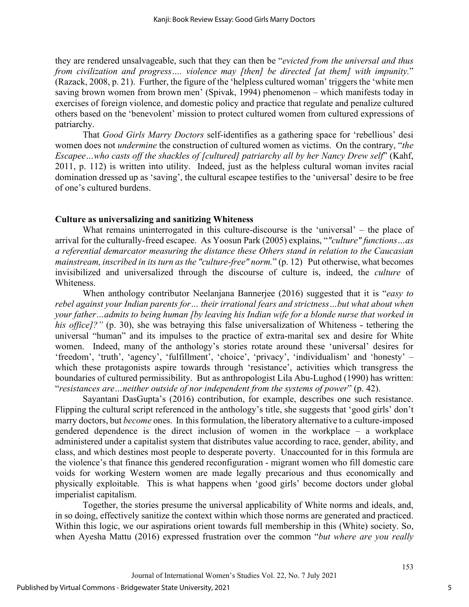they are rendered unsalvageable, such that they can then be "*evicted from the universal and thus from civilization and progress…. violence may [then] be directed [at them] with impunity.*" (Razack, 2008, p. 21). Further, the figure of the 'helpless cultured woman' triggers the 'white men saving brown women from brown men' (Spivak, 1994) phenomenon – which manifests today in exercises of foreign violence, and domestic policy and practice that regulate and penalize cultured others based on the 'benevolent' mission to protect cultured women from cultured expressions of patriarchy.

That *Good Girls Marry Doctors* self-identifies as a gathering space for 'rebellious' desi women does not *undermine* the construction of cultured women as victims. On the contrary, "*the Escapee…who casts off the shackles of [cultured] patriarchy all by her Nancy Drew self*" (Kahf, 2011, p. 112) is written into utility. Indeed, just as the helpless cultural woman invites racial domination dressed up as 'saving', the cultural escapee testifies to the 'universal' desire to be free of one's cultured burdens.

### **Culture as universalizing and sanitizing Whiteness**

What remains uninterrogated in this culture-discourse is the 'universal' – the place of arrival for the culturally-freed escapee. As Yoosun Park (2005) explains, "*"culture" functions…as a referential demarcator measuring the distance these Others stand in relation to the Caucasian mainstream, inscribed in its turn as the "culture-free" norm.*" (p. 12) Put otherwise, what becomes invisibilized and universalized through the discourse of culture is, indeed, the *culture* of Whiteness.

When anthology contributor Neelanjana Bannerjee (2016) suggested that it is "*easy to rebel against your Indian parents for… their irrational fears and strictness…but what about when your father…admits to being human [by leaving his Indian wife for a blonde nurse that worked in his office]?"* (p. 30), she was betraying this false universalization of Whiteness - tethering the universal "human" and its impulses to the practice of extra-marital sex and desire for White women. Indeed, many of the anthology's stories rotate around these 'universal' desires for 'freedom', 'truth', 'agency', 'fulfillment', 'choice', 'privacy', 'individualism' and 'honesty' – which these protagonists aspire towards through 'resistance', activities which transgress the boundaries of cultured permissibility. But as anthropologist Lila Abu-Lughod (1990) has written: "*resistances are…neither outside of nor independent from the systems of power*" (p. 42).

Sayantani DasGupta's (2016) contribution, for example, describes one such resistance. Flipping the cultural script referenced in the anthology's title, she suggests that 'good girls' don't marry doctors, but *become* ones. In this formulation, the liberatory alternative to a culture-imposed gendered dependence is the direct inclusion of women in the workplace – a workplace administered under a capitalist system that distributes value according to race, gender, ability, and class, and which destines most people to desperate poverty. Unaccounted for in this formula are the violence's that finance this gendered reconfiguration - migrant women who fill domestic care voids for working Western women are made legally precarious and thus economically and physically exploitable. This is what happens when 'good girls' become doctors under global imperialist capitalism.

Together, the stories presume the universal applicability of White norms and ideals, and, in so doing, effectively sanitize the context within which those norms are generated and practiced. Within this logic, we our aspirations orient towards full membership in this (White) society. So, when Ayesha Mattu (2016) expressed frustration over the common "*but where are you really* 

5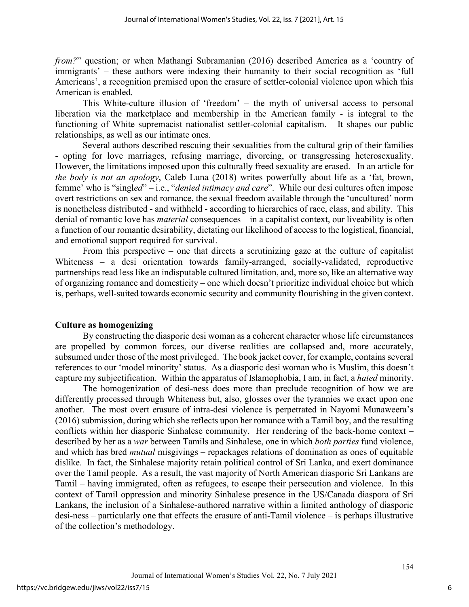*from?*" question; or when Mathangi Subramanian (2016) described America as a 'country of immigrants' – these authors were indexing their humanity to their social recognition as 'full Americans', a recognition premised upon the erasure of settler-colonial violence upon which this American is enabled.

This White-culture illusion of 'freedom' – the myth of universal access to personal liberation via the marketplace and membership in the American family - is integral to the functioning of White supremacist nationalist settler-colonial capitalism. It shapes our public relationships, as well as our intimate ones.

Several authors described rescuing their sexualities from the cultural grip of their families - opting for love marriages, refusing marriage, divorcing, or transgressing heterosexuality. However, the limitations imposed upon this culturally freed sexuality are erased. In an article for *the body is not an apology*, Caleb Luna (2018) writes powerfully about life as a 'fat, brown, femme' who is "singl*ed*" – i.e., "*denied intimacy and care*". While our desi cultures often impose overt restrictions on sex and romance, the sexual freedom available through the 'uncultured' norm is nonetheless distributed - and withheld - according to hierarchies of race, class, and ability. This denial of romantic love has *material* consequences – in a capitalist context, our liveability is often a function of our romantic desirability, dictating our likelihood of access to the logistical, financial, and emotional support required for survival.

From this perspective – one that directs a scrutinizing gaze at the culture of capitalist Whiteness – a desi orientation towards family-arranged, socially-validated, reproductive partnerships read less like an indisputable cultured limitation, and, more so, like an alternative way of organizing romance and domesticity – one which doesn't prioritize individual choice but which is, perhaps, well-suited towards economic security and community flourishing in the given context.

# **Culture as homogenizing**

By constructing the diasporic desi woman as a coherent character whose life circumstances are propelled by common forces, our diverse realities are collapsed and, more accurately, subsumed under those of the most privileged. The book jacket cover, for example, contains several references to our 'model minority' status. As a diasporic desi woman who is Muslim, this doesn't capture my subjectification. Within the apparatus of Islamophobia, I am, in fact, a *hated* minority.

The homogenization of desi-ness does more than preclude recognition of how we are differently processed through Whiteness but, also, glosses over the tyrannies we exact upon one another. The most overt erasure of intra-desi violence is perpetrated in Nayomi Munaweera's (2016) submission, during which she reflects upon her romance with a Tamil boy, and the resulting conflicts within her diasporic Sinhalese community. Her rendering of the back-home context – described by her as a *war* between Tamils and Sinhalese, one in which *both parties* fund violence, and which has bred *mutual* misgivings – repackages relations of domination as ones of equitable dislike. In fact, the Sinhalese majority retain political control of Sri Lanka, and exert dominance over the Tamil people. As a result, the vast majority of North American diasporic Sri Lankans are Tamil – having immigrated, often as refugees, to escape their persecution and violence. In this context of Tamil oppression and minority Sinhalese presence in the US/Canada diaspora of Sri Lankans, the inclusion of a Sinhalese-authored narrative within a limited anthology of diasporic desi-ness – particularly one that effects the erasure of anti-Tamil violence – is perhaps illustrative of the collection's methodology.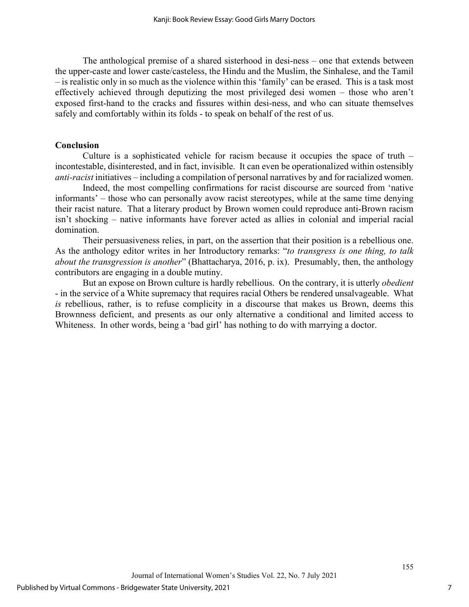The anthological premise of a shared sisterhood in desi-ness – one that extends between the upper-caste and lower caste/casteless, the Hindu and the Muslim, the Sinhalese, and the Tamil – is realistic only in so much as the violence within this 'family' can be erased. This is a task most effectively achieved through deputizing the most privileged desi women – those who aren't exposed first-hand to the cracks and fissures within desi-ness, and who can situate themselves safely and comfortably within its folds - to speak on behalf of the rest of us.

# **Conclusion**

Culture is a sophisticated vehicle for racism because it occupies the space of truth – incontestable, disinterested, and in fact, invisible. It can even be operationalized within ostensibly *anti-racist* initiatives – including a compilation of personal narratives by and for racialized women.

Indeed, the most compelling confirmations for racist discourse are sourced from 'native informants' – those who can personally avow racist stereotypes, while at the same time denying their racist nature. That a literary product by Brown women could reproduce anti-Brown racism isn't shocking – native informants have forever acted as allies in colonial and imperial racial domination.

Their persuasiveness relies, in part, on the assertion that their position is a rebellious one. As the anthology editor writes in her Introductory remarks: "*to transgress is one thing, to talk about the transgression is another*" (Bhattacharya, 2016, p. ix). Presumably, then, the anthology contributors are engaging in a double mutiny.

But an expose on Brown culture is hardly rebellious. On the contrary, it is utterly *obedient* - in the service of a White supremacy that requires racial Others be rendered unsalvageable. What *is* rebellious, rather, is to refuse complicity in a discourse that makes us Brown, deems this Brownness deficient, and presents as our only alternative a conditional and limited access to Whiteness. In other words, being a 'bad girl' has nothing to do with marrying a doctor.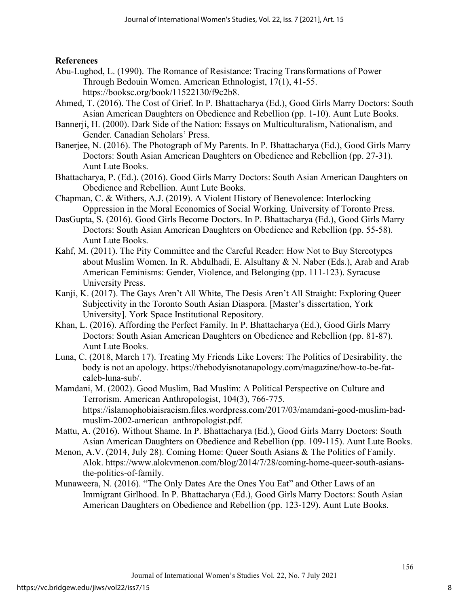# **References**

- Abu-Lughod, L. (1990). The Romance of Resistance: Tracing Transformations of Power Through Bedouin Women. American Ethnologist, 17(1), 41-55. https://booksc.org/book/11522130/f9c2b8.
- Ahmed, T. (2016). The Cost of Grief. In P. Bhattacharya (Ed.), Good Girls Marry Doctors: South Asian American Daughters on Obedience and Rebellion (pp. 1-10). Aunt Lute Books.
- Bannerji, H. (2000). Dark Side of the Nation: Essays on Multiculturalism, Nationalism, and Gender. Canadian Scholars' Press.
- Banerjee, N. (2016). The Photograph of My Parents. In P. Bhattacharya (Ed.), Good Girls Marry Doctors: South Asian American Daughters on Obedience and Rebellion (pp. 27-31). Aunt Lute Books.
- Bhattacharya, P. (Ed.). (2016). Good Girls Marry Doctors: South Asian American Daughters on Obedience and Rebellion. Aunt Lute Books.
- Chapman, C. & Withers, A.J. (2019). A Violent History of Benevolence: Interlocking Oppression in the Moral Economies of Social Working. University of Toronto Press.
- DasGupta, S. (2016). Good Girls Become Doctors. In P. Bhattacharya (Ed.), Good Girls Marry Doctors: South Asian American Daughters on Obedience and Rebellion (pp. 55-58). Aunt Lute Books.
- Kahf, M. (2011). The Pity Committee and the Careful Reader: How Not to Buy Stereotypes about Muslim Women. In R. Abdulhadi, E. Alsultany & N. Naber (Eds.), Arab and Arab American Feminisms: Gender, Violence, and Belonging (pp. 111-123). Syracuse University Press.
- Kanji, K. (2017). The Gays Aren't All White, The Desis Aren't All Straight: Exploring Queer Subjectivity in the Toronto South Asian Diaspora. [Master's dissertation, York University]. York Space Institutional Repository.
- Khan, L. (2016). Affording the Perfect Family. In P. Bhattacharya (Ed.), Good Girls Marry Doctors: South Asian American Daughters on Obedience and Rebellion (pp. 81-87). Aunt Lute Books.
- Luna, C. (2018, March 17). Treating My Friends Like Lovers: The Politics of Desirability. the body is not an apology. https://thebodyisnotanapology.com/magazine/how-to-be-fatcaleb-luna-sub/.
- Mamdani, M. (2002). Good Muslim, Bad Muslim: A Political Perspective on Culture and Terrorism. American Anthropologist, 104(3), 766-775. https://islamophobiaisracism.files.wordpress.com/2017/03/mamdani-good-muslim-badmuslim-2002-american\_anthropologist.pdf.
- Mattu, A. (2016). Without Shame. In P. Bhattacharya (Ed.), Good Girls Marry Doctors: South Asian American Daughters on Obedience and Rebellion (pp. 109-115). Aunt Lute Books.
- Menon, A.V. (2014, July 28). Coming Home: Queer South Asians & The Politics of Family. Alok. https://www.alokvmenon.com/blog/2014/7/28/coming-home-queer-south-asiansthe-politics-of-family.
- Munaweera, N. (2016). "The Only Dates Are the Ones You Eat" and Other Laws of an Immigrant Girlhood. In P. Bhattacharya (Ed.), Good Girls Marry Doctors: South Asian American Daughters on Obedience and Rebellion (pp. 123-129). Aunt Lute Books.